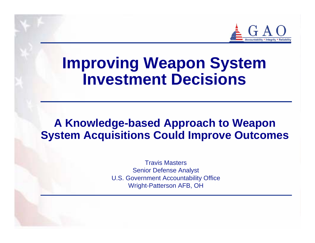

# **Improving Weapon System Investment Decisions**

#### **A Knowledge-based Approach to Weapon System Acquisitions Could Improve Outcomes**

Travis MastersSenior Defense Analyst U.S. Government Accountability Office Wright-Patterson AFB, OH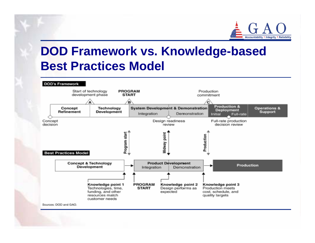

# **DOD Framework vs. Knowledge-based Best Practices Model**

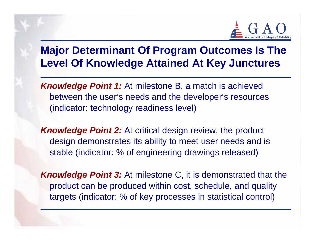

#### **Major Determinant Of Program Outcomes Is The Level Of Knowledge Attained At Key Junctures**

*Knowledge Point 1:* At milestone B, a match is achieved between the user's needs and the developer's resources (indicator: technology readiness level)

*Knowledge Point 2:* At critical design review, the product design demonstrates its ability to meet user needs and is stable (indicator: % of engineering drawings released)

*Knowledge Point 3:* At milestone C, it is demonstrated that the product can be produced within cost, schedule, and quality targets (indicator: % of key processes in statistical control)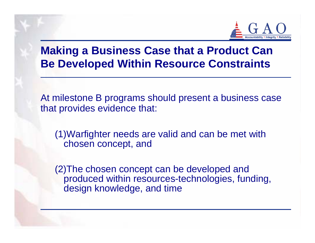

### **Making a Business Case that a Product Can Be Developed Within Resource Constraints**

At milestone B programs should present a business case that provides evidence that:

(1)Warfighter needs are valid and can be met with chosen concept, and

(2)The chosen concept can be developed and produced within resources-technologies, funding, design knowledge, and time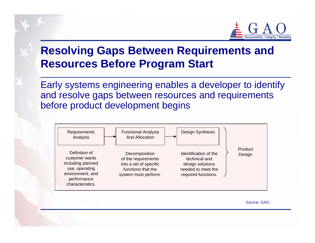

### **Resolving Gaps Between Requirements and Resources Before Program Start**

Early systems engineering enables a developer to identify and resolve gaps between resources and requirements before product development begins



Source: GAO.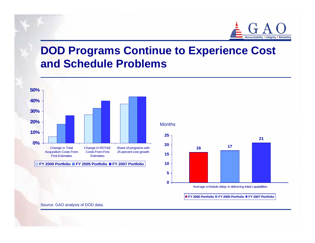

#### **DOD Programs Continue to Experience Cost and Schedule Problems**



**Months** 



Average schedule delay in delivering initial capabilities

**FY 2000 Portfolio FY 2005 Portfolio FY 2007 Portfolio**

Source: GAO analysis of DOD data.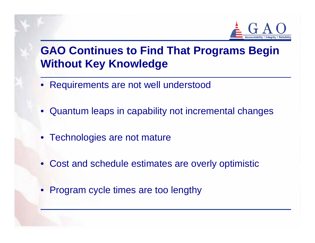

### **GAO Continues to Find That Programs Begin Without Key Knowledge**

- Requirements are not well understood
- Quantum leaps in capability not incremental changes
- Technologies are not mature
- Cost and schedule estimates are overly optimistic
- Program cycle times are too lengthy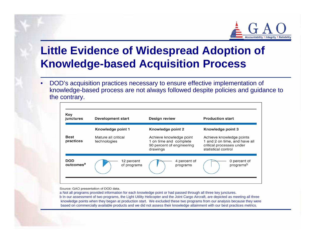

### **Little Evidence of Widespread Adoption of Knowledge-based Acquisition Process**

• DOD's acquisition practices necessary to ensure effective implementation of knowledge-based process are not always followed despite policies and guidance to the contrary.

| Key<br>junctures                    | Development start                   | <b>Design review</b>                                                                       | <b>Production start</b>                                                                                      |
|-------------------------------------|-------------------------------------|--------------------------------------------------------------------------------------------|--------------------------------------------------------------------------------------------------------------|
|                                     | Knowledge point 1                   | Knowledge point 2                                                                          | Knowledge point 3                                                                                            |
| <b>Best</b><br>practices            | Mature all critical<br>technologies | Achieve knowledge point<br>1 on time and complete<br>90 percent of engineering<br>drawings | Achieve knowledge points<br>1 and 2 on time, and have all<br>critical processes under<br>statistical control |
| <b>DOD</b><br>outcomes <sup>a</sup> | 12 percent<br>of programs           | 4 percent of<br>programs                                                                   | 0 percent of<br>programsb                                                                                    |

Source: GAO presentation of DOD data.

a Not all programs provided information for each knowledge point or had passed through all three key junctures. b In our assessment of two programs, the Light Utility Helicopter and the Joint Cargo Aircraft, are depicted as meeting all three knowledge points when they began at production start. We excluded these two programs from our analysis because they were based on commercially available products and we did not assess their knowledge attainment with our best practices metrics.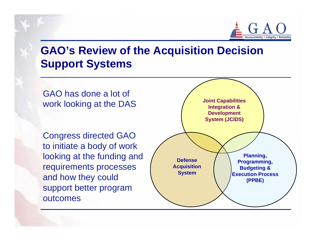

### **GAO's Review of the Acquisition Decision Support Systems**

GAO has done a lot of work looking at the DAS

Congress directed GAO to initiate a body of work looking at the funding and requirements processes and how they could support better program outcomes

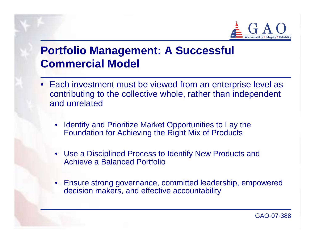

### **Portfolio Management: A Successful Commercial Model**

- Each investment must be viewed from an enterprise level as contributing to the collective whole, rather than independent and unrelated
	- $\bullet$  Identify and Prioritize Market Opportunities to Lay the Foundation for Achieving the Right Mix of Products
	- Use a Disciplined Process to Identify New Products and Achieve a Balanced Portfolio
	- • Ensure strong governance, committed leadership, empowered decision makers, and effective accountability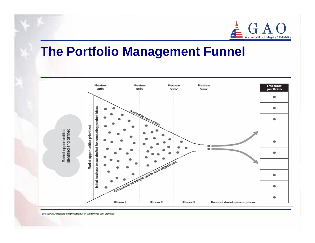

### **The Portfolio Management Funnel**



Source: GAO analysis and presentation of commercial best practices.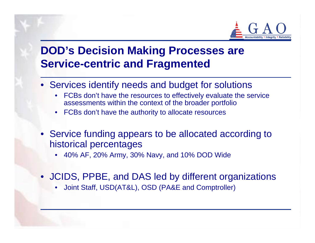

### **DOD's Decision Making Processes are Service-centric and Fragmented**

- Services identify needs and budget for solutions
	- • FCBs don't have the resources to effectively evaluate the service assessments within the context of the broader portfolio
	- FCBs don't have the authority to allocate resources
- Service funding appears to be allocated according to historical percentages
	- •40% AF, 20% Army, 30% Navy, and 10% DOD Wide
- JCIDS, PPBE, and DAS led by different organizations
	- •Joint Staff, USD(AT&L), OSD (PA&E and Comptroller)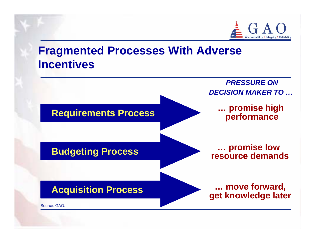

### **Fragmented Processes With Adverse Incentives**

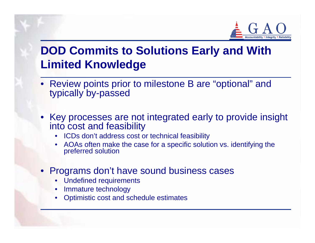

## **DOD Commits to Solutions Early and With Limited Knowledge**

- Review points prior to milestone B are "optional" and typically by-passed
- Key processes are not integrated early to provide insight into cost and feasibility
	- ICDs don't address cost or technical feasibility
	- •AOAs often make the case for a specific solution vs. identifying the preferred solution
- Programs don't have sound business cases
	- •Undefined requirements
	- •Immature technology
	- •Optimistic cost and schedule estimates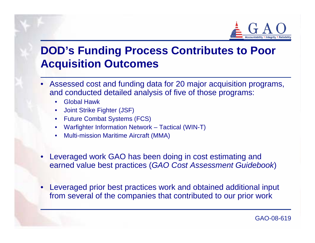

### **DOD's Funding Process Contributes to Poor Acquisition Outcomes**

- Assessed cost and funding data for 20 major acquisition programs, and conducted detailed analysis of five of those programs:
	- •Global Hawk
	- •Joint Strike Fighter (JSF)
	- •Future Combat Systems (FCS)
	- •Warfighter Information Network – Tactical (WIN-T)
	- •Multi-mission Maritime Aircraft (MMA)
- • Leveraged work GAO has been doing in cost estimating and earned value best practices (*GAO Cost Assessment Guidebook*)
- • Leveraged prior best practices work and obtained additional input from several of the companies that contributed to our prior work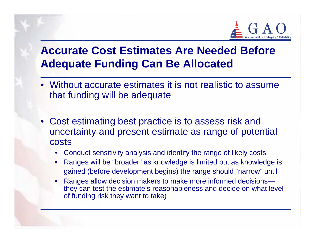

### **Accurate Cost Estimates Are Needed Before Adequate Funding Can Be Allocated**

- Without accurate estimates it is not realistic to assume that funding will be adequate
- Cost estimating best practice is to assess risk and uncertainty and present estimate as range of potential costs
	- •Conduct sensitivity analysis and identify the range of likely costs
	- • Ranges will be "broader" as knowledge is limited but as knowledge is gained (before development begins) the range should "narrow" until
	- • Ranges allow decision makers to make more informed decisions they can test the estimate's reasonableness and decide on what level of funding risk they want to take)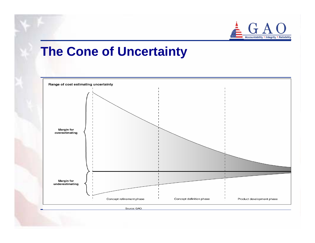

### **The Cone of Uncertainty**



Source: GAO.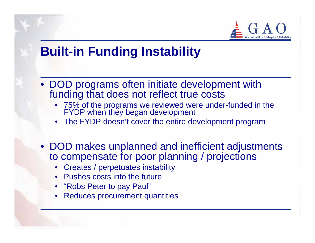

## **Built-in Funding Instability**

- DOD programs often initiate development with funding that does not reflect true costs
	- 75% of the programs we reviewed were under-funded in the FYDP when they began development
	- •The FYDP doesn't cover the entire development program
- DOD makes unplanned and inefficient adjustments to compensate for poor planning / projections
	- Creates / perpetuates instability
	- •Pushes costs into the future
	- •"Robs Peter to pay Paul"
	- •Reduces procurement quantities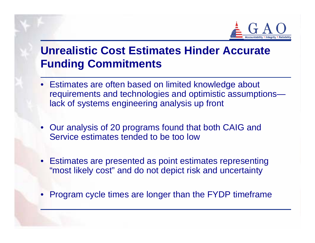

### **Unrealistic Cost Estimates Hinder Accurate Funding Commitments**

- Estimates are often based on limited knowledge about requirements and technologies and optimistic assumptions lack of systems engineering analysis up front
- Our analysis of 20 programs found that both CAIG and Service estimates tended to be too low
- Estimates are presented as point estimates representing "most likely cost" and do not depict risk and uncertainty
- •Program cycle times are longer than the FYDP timeframe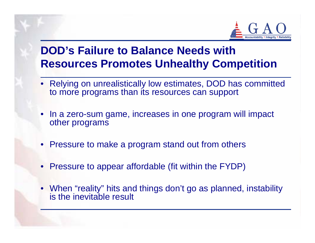

### **DOD's Failure to Balance Needs with Resources Promotes Unhealthy Competition**

- Relying on unrealistically low estimates, DOD has committed to more programs than its resources can support
- • In a zero-sum game, increases in one program will impact other programs
- Pressure to make a program stand out from others
- Pressure to appear affordable (fit within the FYDP)
- When "reality" hits and things don't go as planned, instability is the inevitable result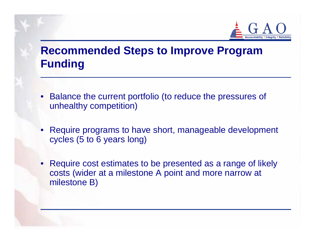

### **Recommended Steps to Improve Program Funding**

- Balance the current portfolio (to reduce the pressures of unhealthy competition)
- Require programs to have short, manageable development cycles (5 to 6 years long)
- • Require cost estimates to be presented as a range of likely costs (wider at a milestone A point and more narrow at milestone B)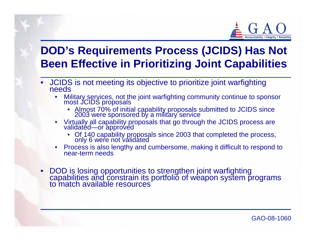

### **DOD's Requirements Process (JCIDS) Has Not Been Effective in Prioritizing Joint Capabilities**

- JCIDS is not meeting its objective to prioritize joint warfighting needs
	- • Military services, not the joint warfighting community continue to sponsor most JCIDS proposals
		- Almost 70% of initial capability proposals submitted to JCIDS since 2003 were sponsored by a military service
	- • Virtually all capability proposals that go through the JCIDS process are validated—or approved
		- Of 140 capability proposals since 2003 that completed the process, only 6 were not validated
	- •Process is also lengthy and cumbersome, making it difficult to respond to near-term needs
- •DOD is losing opportunities to strengthen joint warfighting<br>capabilities and constrain its portfolio of weapon system programs<br>to match available resources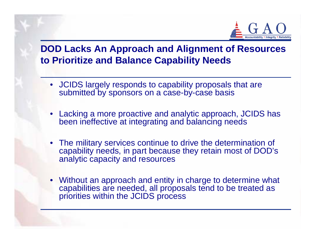

#### **DOD Lacks An Approach and Alignment of Resources to Prioritize and Balance Capability Needs**

- JCIDS largely responds to capability proposals that are submitted by sponsors on a case-by-case basis
- Lacking a more proactive and analytic approach, JCIDS has been ineffective at integrating and balancing needs
- The military services continue to drive the determination of capability needs, in part because they retain most of DOD's analytic capacity and resources
- Without an approach and entity in charge to determine what capabilities are needed, all proposals tend to be treated as priorities within the JCIDS process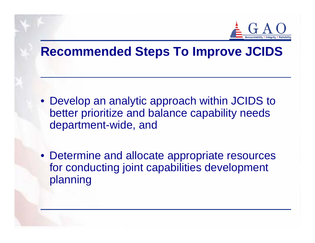

## **Recommended Steps To Improve JCIDS**

- Develop an analytic approach within JCIDS to better prioritize and balance capability needs department-wide, and
- Determine and allocate appropriate resources for conducting joint capabilities development planning